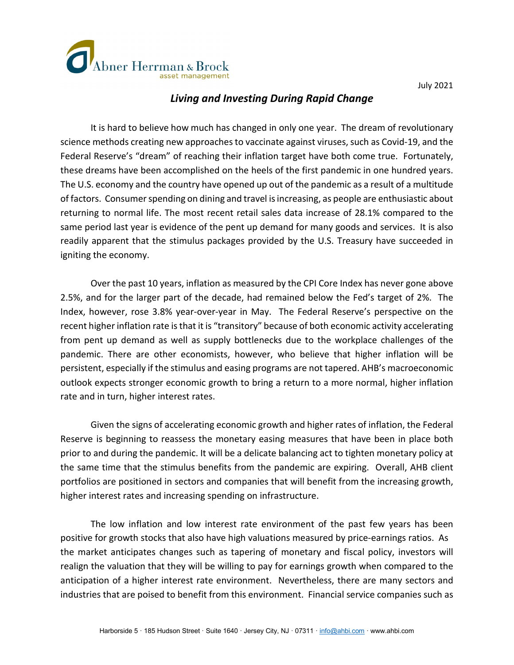



## *Living and Investing During Rapid Change*

It is hard to believe how much has changed in only one year. The dream of revolutionary science methods creating new approaches to vaccinate against viruses, such as Covid-19, and the Federal Reserve's "dream" of reaching their inflation target have both come true. Fortunately, these dreams have been accomplished on the heels of the first pandemic in one hundred years. The U.S. economy and the country have opened up out of the pandemic as a result of a multitude of factors. Consumer spending on dining and travel is increasing, as people are enthusiastic about returning to normal life. The most recent retail sales data increase of 28.1% compared to the same period last year is evidence of the pent up demand for many goods and services. It is also readily apparent that the stimulus packages provided by the U.S. Treasury have succeeded in igniting the economy.

Over the past 10 years, inflation as measured by the CPI Core Index has never gone above 2.5%, and for the larger part of the decade, had remained below the Fed's target of 2%. The Index, however, rose 3.8% year-over-year in May. The Federal Reserve's perspective on the recent higher inflation rate is that it is "transitory" because of both economic activity accelerating from pent up demand as well as supply bottlenecks due to the workplace challenges of the pandemic. There are other economists, however, who believe that higher inflation will be persistent, especially if the stimulus and easing programs are not tapered. AHB's macroeconomic outlook expects stronger economic growth to bring a return to a more normal, higher inflation rate and in turn, higher interest rates.

Given the signs of accelerating economic growth and higher rates of inflation, the Federal Reserve is beginning to reassess the monetary easing measures that have been in place both prior to and during the pandemic. It will be a delicate balancing act to tighten monetary policy at the same time that the stimulus benefits from the pandemic are expiring. Overall, AHB client portfolios are positioned in sectors and companies that will benefit from the increasing growth, higher interest rates and increasing spending on infrastructure.

The low inflation and low interest rate environment of the past few years has been positive for growth stocks that also have high valuations measured by price-earnings ratios. As the market anticipates changes such as tapering of monetary and fiscal policy, investors will realign the valuation that they will be willing to pay for earnings growth when compared to the anticipation of a higher interest rate environment. Nevertheless, there are many sectors and industries that are poised to benefit from this environment. Financial service companies such as